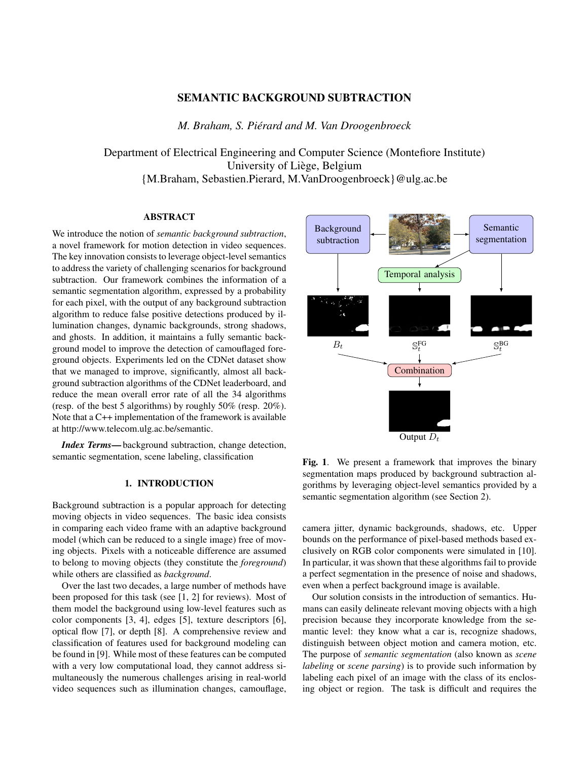# SEMANTIC BACKGROUND SUBTRACTION

*M. Braham, S. Piérard and M. Van Droogenbroeck*

Department of Electrical Engineering and Computer Science (Montefiore Institute) University of Liège, Belgium {M.Braham, Sebastien.Pierard, M.VanDroogenbroeck}@ulg.ac.be

# ABSTRACT

We introduce the notion of *semantic background subtraction*, a novel framework for motion detection in video sequences. The key innovation consists to leverage object-level semantics to address the variety of challenging scenarios for background subtraction. Our framework combines the information of a semantic segmentation algorithm, expressed by a probability for each pixel, with the output of any background subtraction algorithm to reduce false positive detections produced by illumination changes, dynamic backgrounds, strong shadows, and ghosts. In addition, it maintains a fully semantic background model to improve the detection of camouflaged foreground objects. Experiments led on the CDNet dataset show that we managed to improve, significantly, almost all background subtraction algorithms of the CDNet leaderboard, and reduce the mean overall error rate of all the 34 algorithms (resp. of the best 5 algorithms) by roughly 50% (resp. 20%). Note that a C++ implementation of the framework is available at http://www.telecom.ulg.ac.be/semantic.

*Index Terms*— background subtraction, change detection, semantic segmentation, scene labeling, classification

## 1. INTRODUCTION

Background subtraction is a popular approach for detecting moving objects in video sequences. The basic idea consists in comparing each video frame with an adaptive background model (which can be reduced to a single image) free of moving objects. Pixels with a noticeable difference are assumed to belong to moving objects (they constitute the *foreground*) while others are classified as *background*.

Over the last two decades, a large number of methods have been proposed for this task (see [1, 2] for reviews). Most of them model the background using low-level features such as color components [3, 4], edges [5], texture descriptors [6], optical flow [7], or depth [8]. A comprehensive review and classification of features used for background modeling can be found in [9]. While most of these features can be computed with a very low computational load, they cannot address simultaneously the numerous challenges arising in real-world video sequences such as illumination changes, camouflage,



Fig. 1. We present a framework that improves the binary segmentation maps produced by background subtraction algorithms by leveraging object-level semantics provided by a semantic segmentation algorithm (see Section 2).

camera jitter, dynamic backgrounds, shadows, etc. Upper bounds on the performance of pixel-based methods based exclusively on RGB color components were simulated in [10]. In particular, it was shown that these algorithms fail to provide a perfect segmentation in the presence of noise and shadows, even when a perfect background image is available.

Our solution consists in the introduction of semantics. Humans can easily delineate relevant moving objects with a high precision because they incorporate knowledge from the semantic level: they know what a car is, recognize shadows, distinguish between object motion and camera motion, etc. The purpose of *semantic segmentation* (also known as *scene labeling* or *scene parsing*) is to provide such information by labeling each pixel of an image with the class of its enclosing object or region. The task is difficult and requires the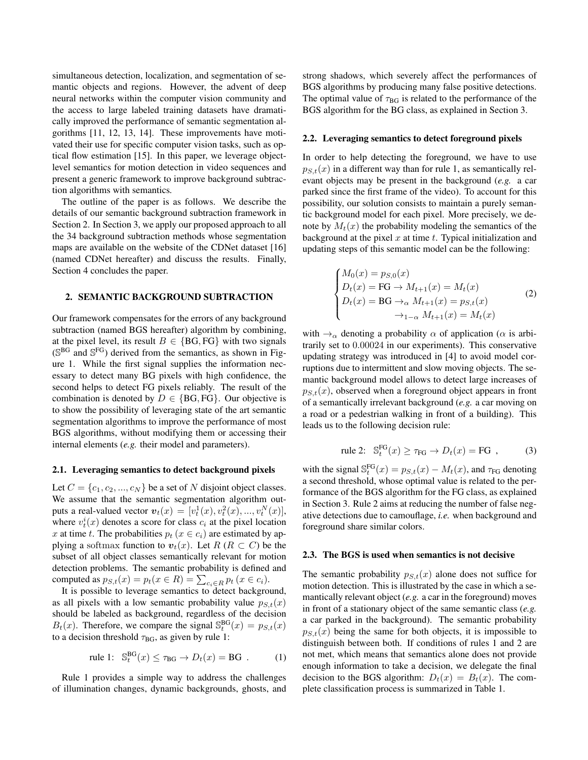simultaneous detection, localization, and segmentation of semantic objects and regions. However, the advent of deep neural networks within the computer vision community and the access to large labeled training datasets have dramatically improved the performance of semantic segmentation algorithms [11, 12, 13, 14]. These improvements have motivated their use for specific computer vision tasks, such as optical flow estimation [15]. In this paper, we leverage objectlevel semantics for motion detection in video sequences and present a generic framework to improve background subtraction algorithms with semantics*.*

The outline of the paper is as follows. We describe the details of our semantic background subtraction framework in Section 2. In Section 3, we apply our proposed approach to all the 34 background subtraction methods whose segmentation maps are available on the website of the CDNet dataset [16] (named CDNet hereafter) and discuss the results. Finally, Section 4 concludes the paper.

### 2. SEMANTIC BACKGROUND SUBTRACTION

Our framework compensates for the errors of any background subtraction (named BGS hereafter) algorithm by combining, at the pixel level, its result  $B \in \{BG, FG\}$  with two signals (S<sup>BG</sup> and S<sup>FG</sup>) derived from the semantics, as shown in Figure 1. While the first signal supplies the information necessary to detect many BG pixels with high confidence, the second helps to detect FG pixels reliably. The result of the combination is denoted by  $D \in \{BG, FG\}$ . Our objective is to show the possibility of leveraging state of the art semantic segmentation algorithms to improve the performance of most BGS algorithms, without modifying them or accessing their internal elements (*e.g.* their model and parameters).

#### 2.1. Leveraging semantics to detect background pixels

Let  $C = \{c_1, c_2, ..., c_N\}$  be a set of N disjoint object classes. We assume that the semantic segmentation algorithm outputs a real-valued vector  $v_t(x) = [v_t^1(x), v_t^2(x), ..., v_t^N(x)],$ where  $v_t^i(x)$  denotes a score for class  $c_i$  at the pixel location x at time t. The probabilities  $p_t$  ( $x \in c_i$ ) are estimated by applying a softmax function to  $v_t(x)$ . Let  $R$  ( $R \subset C$ ) be the subset of all object classes semantically relevant for motion detection problems. The semantic probability is defined and computed as  $p_{S,t}(x) = p_t(x \in R) = \sum_{c_i \in R} p_t(x \in c_i)$ .

It is possible to leverage semantics to detect background, as all pixels with a low semantic probability value  $p_{S,t}(x)$ should be labeled as background, regardless of the decision  $B_t(x)$ . Therefore, we compare the signal  $\mathbb{S}^{BG}_t(x) = p_{S,t}(x)$ to a decision threshold  $\tau_{BG}$ , as given by rule 1:

$$
\text{rule 1: } \mathbb{S}_t^{\text{BG}}(x) \le \tau_{\text{BG}} \to D_t(x) = \text{BG} \tag{1}
$$

Rule 1 provides a simple way to address the challenges of illumination changes, dynamic backgrounds, ghosts, and strong shadows, which severely affect the performances of BGS algorithms by producing many false positive detections. The optimal value of  $\tau_{BG}$  is related to the performance of the BGS algorithm for the BG class, as explained in Section 3.

#### 2.2. Leveraging semantics to detect foreground pixels

In order to help detecting the foreground, we have to use  $p_{S,t}(x)$  in a different way than for rule 1, as semantically relevant objects may be present in the background (*e.g.* a car parked since the first frame of the video). To account for this possibility, our solution consists to maintain a purely semantic background model for each pixel. More precisely, we denote by  $M_t(x)$  the probability modeling the semantics of the background at the pixel  $x$  at time  $t$ . Typical initialization and updating steps of this semantic model can be the following:

$$
\begin{cases}\nM_0(x) = p_{S,0}(x) \\
D_t(x) = \text{FG} \to M_{t+1}(x) = M_t(x) \\
D_t(x) = \text{BG} \to_{\alpha} M_{t+1}(x) = p_{S,t}(x) \\
\to_{1-\alpha} M_{t+1}(x) = M_t(x)\n\end{cases}
$$
\n(2)

with  $\rightarrow_{\alpha}$  denoting a probability  $\alpha$  of application ( $\alpha$  is arbitrarily set to 0.00024 in our experiments). This conservative updating strategy was introduced in [4] to avoid model corruptions due to intermittent and slow moving objects. The semantic background model allows to detect large increases of  $p_{S,t}(x)$ , observed when a foreground object appears in front of a semantically irrelevant background (*e.g.* a car moving on a road or a pedestrian walking in front of a building). This leads us to the following decision rule:

$$
\text{rule 2: } \mathbf{2:} \quad \mathbb{S}_t^{\text{FG}}(x) \ge \tau_{\text{FG}} \to D_t(x) = \text{FG} \quad , \tag{3}
$$

with the signal  $\mathbb{S}^{\text{FG}}_t(x) = p_{S,t}(x) - M_t(x)$ , and  $\tau_{\text{FG}}$  denoting a second threshold, whose optimal value is related to the performance of the BGS algorithm for the FG class, as explained in Section 3. Rule 2 aims at reducing the number of false negative detections due to camouflage, *i.e.* when background and foreground share similar colors.

#### 2.3. The BGS is used when semantics is not decisive

The semantic probability  $p_{S,t}(x)$  alone does not suffice for motion detection. This is illustrated by the case in which a semantically relevant object (*e.g.* a car in the foreground) moves in front of a stationary object of the same semantic class (*e.g.* a car parked in the background). The semantic probability  $p_{S,t}(x)$  being the same for both objects, it is impossible to distinguish between both. If conditions of rules 1 and 2 are not met, which means that semantics alone does not provide enough information to take a decision, we delegate the final decision to the BGS algorithm:  $D_t(x) = B_t(x)$ . The complete classification process is summarized in Table 1.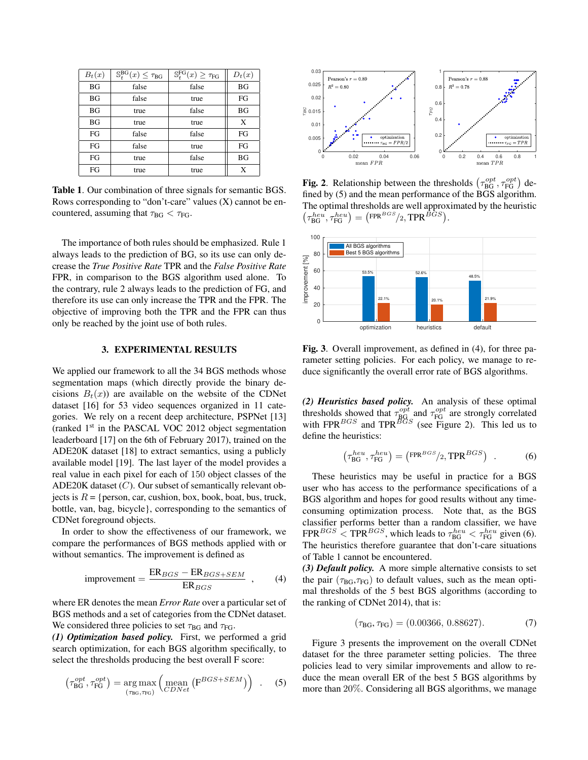| $B_t(x)$  | $\mathbb{S}^{\text{BG}}_t(x) \leq \tau_{\text{BG}}$ | $\mathbb{S}^{\text{FG}}_t(x) \geq \tau_{\text{FG}}$ | $D_t(x)$  |
|-----------|-----------------------------------------------------|-----------------------------------------------------|-----------|
| <b>BG</b> | false                                               | false                                               | BG        |
| <b>BG</b> | false                                               | true                                                | FG        |
| <b>BG</b> | true                                                | false                                               | <b>BG</b> |
| <b>BG</b> | true                                                | true                                                | X         |
| FG        | false                                               | false                                               | FG        |
| FG        | false                                               | true                                                | FG        |
| FG        | true                                                | false                                               | BG        |
| FG        | true                                                | true                                                | X         |

Table 1. Our combination of three signals for semantic BGS. Rows corresponding to "don't-care" values (X) cannot be encountered, assuming that  $\tau_{BG} < \tau_{FG}$ .

The importance of both rules should be emphasized. Rule 1 always leads to the prediction of BG, so its use can only decrease the *True Positive Rate* TPR and the *False Positive Rate* FPR, in comparison to the BGS algorithm used alone. To the contrary, rule 2 always leads to the prediction of FG, and therefore its use can only increase the TPR and the FPR. The objective of improving both the TPR and the FPR can thus only be reached by the joint use of both rules.

## 3. EXPERIMENTAL RESULTS

We applied our framework to all the 34 BGS methods whose segmentation maps (which directly provide the binary decisions  $B_t(x)$  are available on the website of the CDNet dataset [16] for 53 video sequences organized in 11 categories. We rely on a recent deep architecture, PSPNet [13] (ranked  $1<sup>st</sup>$  in the PASCAL VOC 2012 object segmentation leaderboard [17] on the 6th of February 2017), trained on the ADE20K dataset [18] to extract semantics, using a publicly available model [19]. The last layer of the model provides a real value in each pixel for each of 150 object classes of the ADE20K dataset  $(C)$ . Our subset of semantically relevant objects is  $R = \{person, car, cushion, box, book, boat, bus, truck,$ bottle, van, bag, bicycle}, corresponding to the semantics of CDNet foreground objects.

In order to show the effectiveness of our framework, we compare the performances of BGS methods applied with or without semantics. The improvement is defined as

$$
improvement = \frac{ER_{BGS} - ER_{BGS+SEM}}{ER_{BGS}} , \qquad (4)
$$

where ER denotes the mean *Error Rate* over a particular set of BGS methods and a set of categories from the CDNet dataset. We considered three policies to set  $\tau_{BG}$  and  $\tau_{FG}$ .

*(1) Optimization based policy.* First, we performed a grid search optimization, for each BGS algorithm specifically, to select the thresholds producing the best overall F score:

$$
\left(\tau_{BG}^{opt}, \tau_{FG}^{opt}\right) = \underset{\left(\tau_{BG}, \tau_{FG}\right)}{\arg \max} \left(\underset{CDNet}{\text{mean}} \left(\mathbf{F}^{BGS + SEM}\right)\right) . \tag{5}
$$



**Fig. 2**. Relationship between the thresholds  $(\tau_{BG}^{opt}, \tau_{FG}^{opt})$  defined by (5) and the mean performance of the BGS algorithm. The optimal thresholds are well approximated by the heuristic  $\left(\tau_{\text{BG}}^{heu},\tau_{\text{FG}}^{heu}\right)=\left(\text{FPR}^{BGS}/2,\text{TPR}^{BGS}\right).$ 



Fig. 3. Overall improvement, as defined in (4), for three parameter setting policies. For each policy, we manage to reduce significantly the overall error rate of BGS algorithms.

*(2) Heuristics based policy.* An analysis of these optimal thresholds showed that  $\tau_{BG}^{opt}$  and  $\tau_{FG}^{opt}$  are strongly correlated with FPR $^{BGS}$  and TPR $^{BGS}$  (see Figure 2). This led us to define the heuristics:

$$
\left(\tau_{BG}^{heu}, \tau_{FG}^{heu}\right) = \left(\mathbf{FPR}^{BGS}/2, \mathbf{TPR}^{BGS}\right) . \tag{6}
$$

These heuristics may be useful in practice for a BGS user who has access to the performance specifications of a BGS algorithm and hopes for good results without any timeconsuming optimization process. Note that, as the BGS classifier performs better than a random classifier, we have  $FPR^{BGS} < TPR^{BGS}$ , which leads to  $\tau_{BG}^{heu} < \tau_{FG}^{heu}$  given (6). The heuristics therefore guarantee that don't-care situations of Table 1 cannot be encountered.

*(3) Default policy.* A more simple alternative consists to set the pair ( $\tau_{BG}, \tau_{FG}$ ) to default values, such as the mean optimal thresholds of the 5 best BGS algorithms (according to the ranking of CDNet 2014), that is:

$$
(\tau_{BG}, \tau_{FG}) = (0.00366, 0.88627). \tag{7}
$$

Figure 3 presents the improvement on the overall CDNet dataset for the three parameter setting policies. The three policies lead to very similar improvements and allow to reduce the mean overall ER of the best 5 BGS algorithms by more than 20%. Considering all BGS algorithms, we manage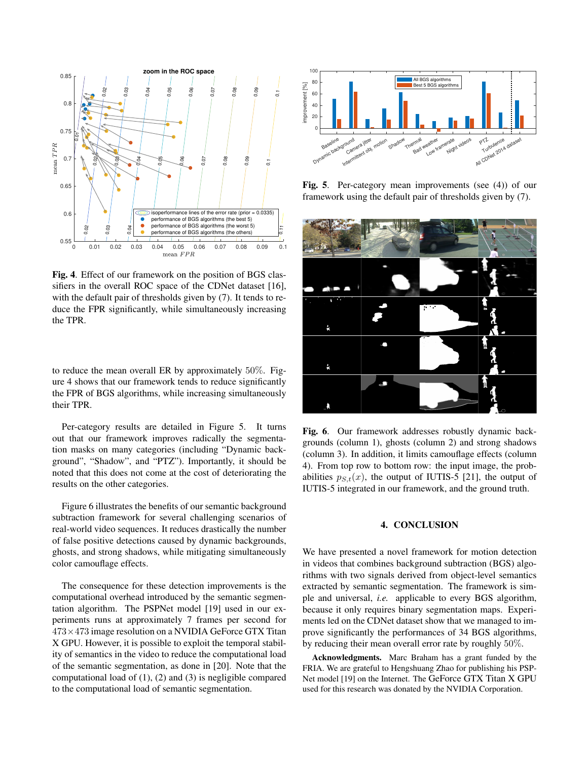

Fig. 4. Effect of our framework on the position of BGS classifiers in the overall ROC space of the CDNet dataset [16], with the default pair of thresholds given by (7). It tends to reduce the FPR significantly, while simultaneously increasing the TPR.

to reduce the mean overall ER by approximately 50%. Figure 4 shows that our framework tends to reduce significantly the FPR of BGS algorithms, while increasing simultaneously their TPR.

Per-category results are detailed in Figure 5. It turns out that our framework improves radically the segmentation masks on many categories (including "Dynamic background", "Shadow", and "PTZ"). Importantly, it should be noted that this does not come at the cost of deteriorating the results on the other categories.

Figure 6 illustrates the benefits of our semantic background subtraction framework for several challenging scenarios of real-world video sequences. It reduces drastically the number of false positive detections caused by dynamic backgrounds, ghosts, and strong shadows, while mitigating simultaneously color camouflage effects.

The consequence for these detection improvements is the computational overhead introduced by the semantic segmentation algorithm. The PSPNet model [19] used in our experiments runs at approximately 7 frames per second for  $473\times473$  image resolution on a NVIDIA GeForce GTX Titan X GPU. However, it is possible to exploit the temporal stability of semantics in the video to reduce the computational load of the semantic segmentation, as done in [20]. Note that the computational load of (1), (2) and (3) is negligible compared to the computational load of semantic segmentation.



Fig. 5. Per-category mean improvements (see (4)) of our framework using the default pair of thresholds given by (7).



Fig. 6. Our framework addresses robustly dynamic backgrounds (column 1), ghosts (column 2) and strong shadows (column 3). In addition, it limits camouflage effects (column 4). From top row to bottom row: the input image, the probabilities  $p_{S,t}(x)$ , the output of IUTIS-5 [21], the output of IUTIS-5 integrated in our framework, and the ground truth.

#### 4. CONCLUSION

We have presented a novel framework for motion detection in videos that combines background subtraction (BGS) algorithms with two signals derived from object-level semantics extracted by semantic segmentation. The framework is simple and universal, *i.e.* applicable to every BGS algorithm, because it only requires binary segmentation maps. Experiments led on the CDNet dataset show that we managed to improve significantly the performances of 34 BGS algorithms, by reducing their mean overall error rate by roughly 50%.

Acknowledgments. Marc Braham has a grant funded by the FRIA. We are grateful to Hengshuang Zhao for publishing his PSP-Net model [19] on the Internet. The GeForce GTX Titan X GPU used for this research was donated by the NVIDIA Corporation.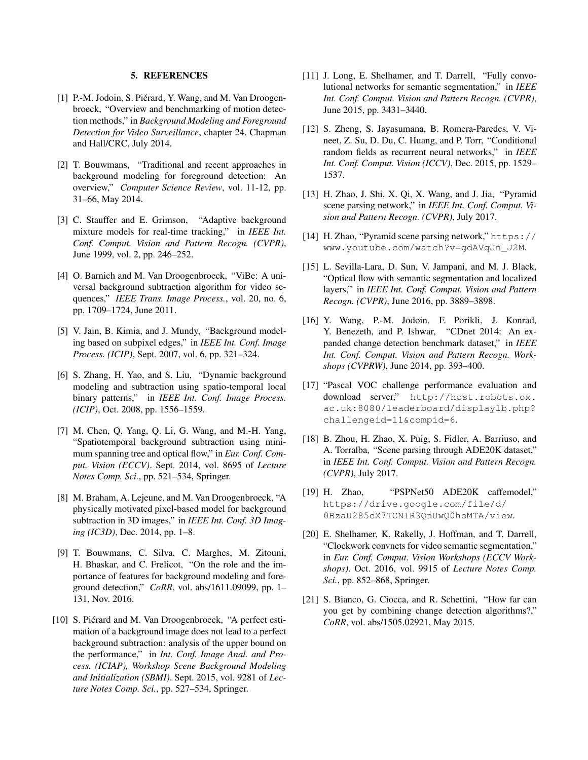#### 5. REFERENCES

- [1] P.-M. Jodoin, S. Piérard, Y. Wang, and M. Van Droogenbroeck, "Overview and benchmarking of motion detection methods," in *Background Modeling and Foreground Detection for Video Surveillance*, chapter 24. Chapman and Hall/CRC, July 2014.
- [2] T. Bouwmans, "Traditional and recent approaches in background modeling for foreground detection: An overview," *Computer Science Review*, vol. 11-12, pp. 31–66, May 2014.
- [3] C. Stauffer and E. Grimson, "Adaptive background mixture models for real-time tracking," in *IEEE Int. Conf. Comput. Vision and Pattern Recogn. (CVPR)*, June 1999, vol. 2, pp. 246–252.
- [4] O. Barnich and M. Van Droogenbroeck, "ViBe: A universal background subtraction algorithm for video sequences," *IEEE Trans. Image Process.*, vol. 20, no. 6, pp. 1709–1724, June 2011.
- [5] V. Jain, B. Kimia, and J. Mundy, "Background modeling based on subpixel edges," in *IEEE Int. Conf. Image Process. (ICIP)*, Sept. 2007, vol. 6, pp. 321–324.
- [6] S. Zhang, H. Yao, and S. Liu, "Dynamic background modeling and subtraction using spatio-temporal local binary patterns," in *IEEE Int. Conf. Image Process. (ICIP)*, Oct. 2008, pp. 1556–1559.
- [7] M. Chen, Q. Yang, Q. Li, G. Wang, and M.-H. Yang, "Spatiotemporal background subtraction using minimum spanning tree and optical flow," in *Eur. Conf. Comput. Vision (ECCV)*. Sept. 2014, vol. 8695 of *Lecture Notes Comp. Sci.*, pp. 521–534, Springer.
- [8] M. Braham, A. Lejeune, and M. Van Droogenbroeck, "A physically motivated pixel-based model for background subtraction in 3D images," in *IEEE Int. Conf. 3D Imaging (IC3D)*, Dec. 2014, pp. 1–8.
- [9] T. Bouwmans, C. Silva, C. Marghes, M. Zitouni, H. Bhaskar, and C. Frelicot, "On the role and the importance of features for background modeling and foreground detection," *CoRR*, vol. abs/1611.09099, pp. 1– 131, Nov. 2016.
- [10] S. Piérard and M. Van Droogenbroeck, "A perfect estimation of a background image does not lead to a perfect background subtraction: analysis of the upper bound on the performance," in *Int. Conf. Image Anal. and Process. (ICIAP), Workshop Scene Background Modeling and Initialization (SBMI)*. Sept. 2015, vol. 9281 of *Lecture Notes Comp. Sci.*, pp. 527–534, Springer.
- [11] J. Long, E. Shelhamer, and T. Darrell, "Fully convolutional networks for semantic segmentation," in *IEEE Int. Conf. Comput. Vision and Pattern Recogn. (CVPR)*, June 2015, pp. 3431–3440.
- [12] S. Zheng, S. Jayasumana, B. Romera-Paredes, V. Vineet, Z. Su, D. Du, C. Huang, and P. Torr, "Conditional random fields as recurrent neural networks," in *IEEE Int. Conf. Comput. Vision (ICCV)*, Dec. 2015, pp. 1529– 1537.
- [13] H. Zhao, J. Shi, X. Qi, X. Wang, and J. Jia, "Pyramid scene parsing network," in *IEEE Int. Conf. Comput. Vision and Pattern Recogn. (CVPR)*, July 2017.
- [14] H. Zhao, "Pyramid scene parsing network," https:// www.youtube.com/watch?v=gdAVqJn\_J2M.
- [15] L. Sevilla-Lara, D. Sun, V. Jampani, and M. J. Black, "Optical flow with semantic segmentation and localized layers," in *IEEE Int. Conf. Comput. Vision and Pattern Recogn. (CVPR)*, June 2016, pp. 3889–3898.
- [16] Y. Wang, P.-M. Jodoin, F. Porikli, J. Konrad, Y. Benezeth, and P. Ishwar, "CDnet 2014: An expanded change detection benchmark dataset," in *IEEE Int. Conf. Comput. Vision and Pattern Recogn. Workshops (CVPRW)*, June 2014, pp. 393–400.
- [17] "Pascal VOC challenge performance evaluation and download server," http://host.robots.ox. ac.uk:8080/leaderboard/displaylb.php? challengeid=11&compid=6.
- [18] B. Zhou, H. Zhao, X. Puig, S. Fidler, A. Barriuso, and A. Torralba, "Scene parsing through ADE20K dataset," in *IEEE Int. Conf. Comput. Vision and Pattern Recogn. (CVPR)*, July 2017.
- [19] H. Zhao, "PSPNet50 ADE20K caffemodel," https://drive.google.com/file/d/ 0BzaU285cX7TCN1R3QnUwQ0hoMTA/view.
- [20] E. Shelhamer, K. Rakelly, J. Hoffman, and T. Darrell, "Clockwork convnets for video semantic segmentation," in *Eur. Conf. Comput. Vision Workshops (ECCV Workshops)*. Oct. 2016, vol. 9915 of *Lecture Notes Comp. Sci.*, pp. 852–868, Springer.
- [21] S. Bianco, G. Ciocca, and R. Schettini, "How far can you get by combining change detection algorithms?," *CoRR*, vol. abs/1505.02921, May 2015.